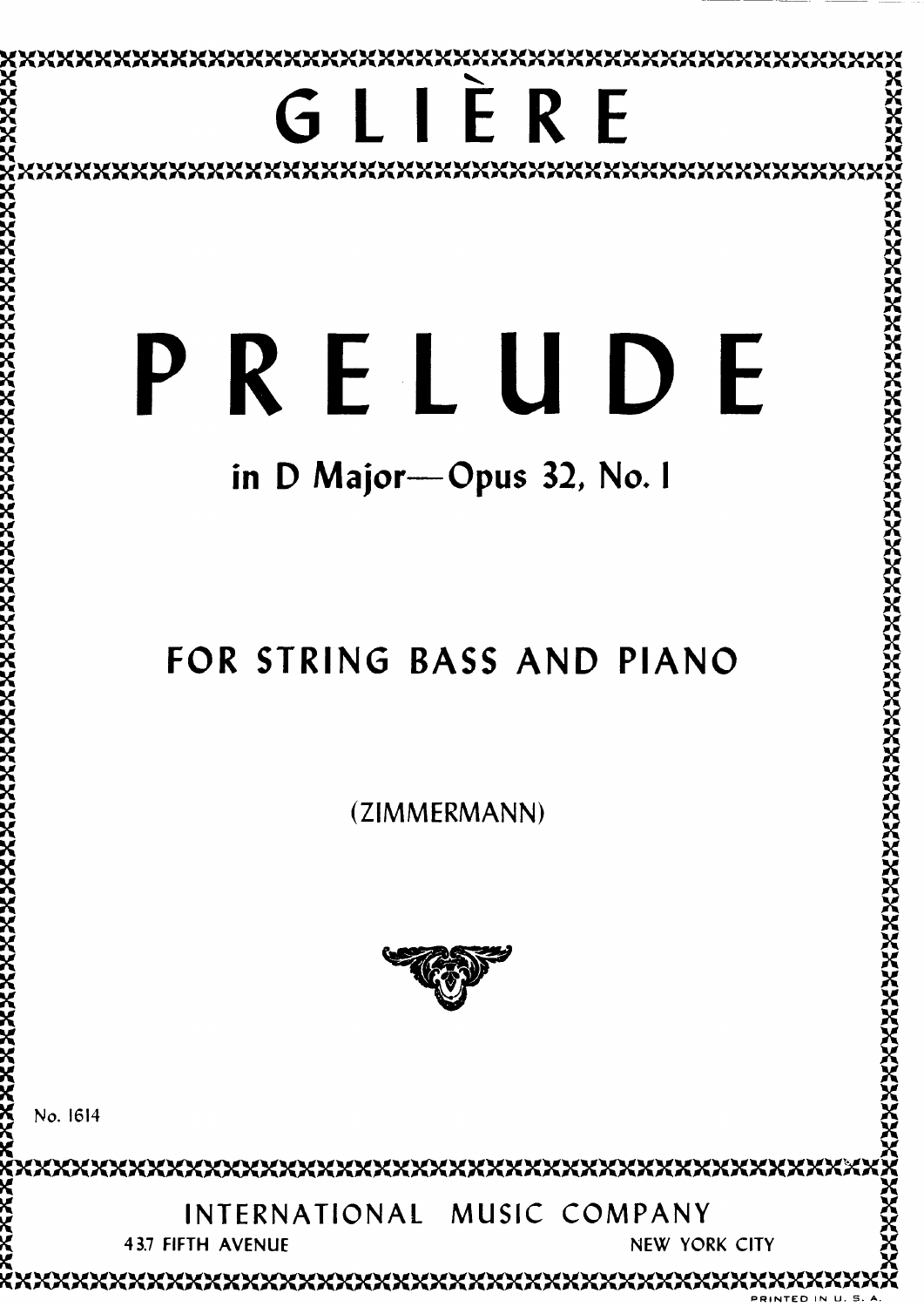## GLIÈRE

# PRELUDE

### in D Major-Opus 32, No. I

## FOR STRING BASS AND PIANO

(ZIMMERMANN)



| No. 1614 |
|----------|
|          |

INTERNATIONAL MUSIC COMPANY

XXXXXXXXXXXXXXXXXXXXX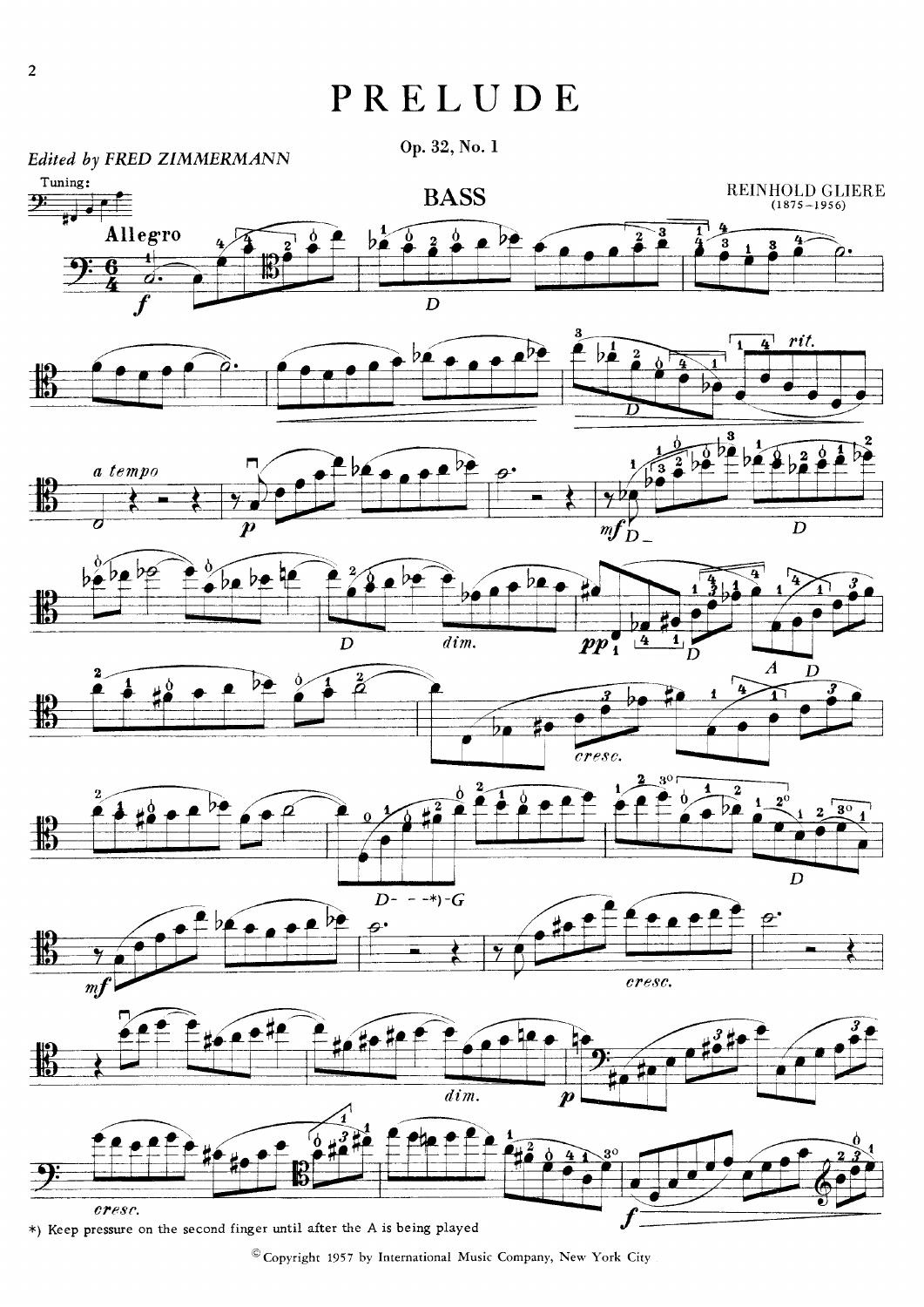#### PRELUDE



 $^{\circledR}$  Copyright 1957 by International Music Company, New York City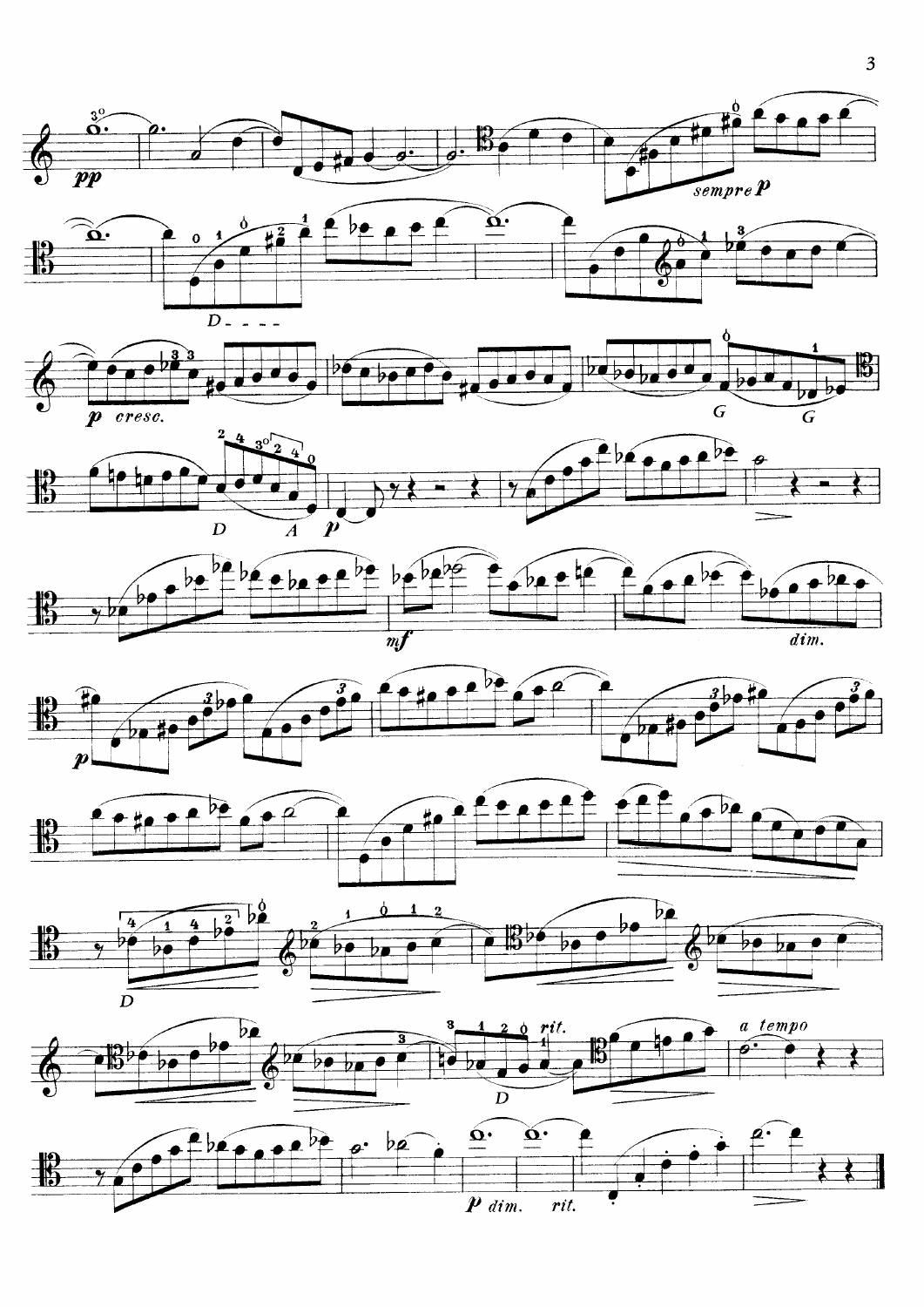

















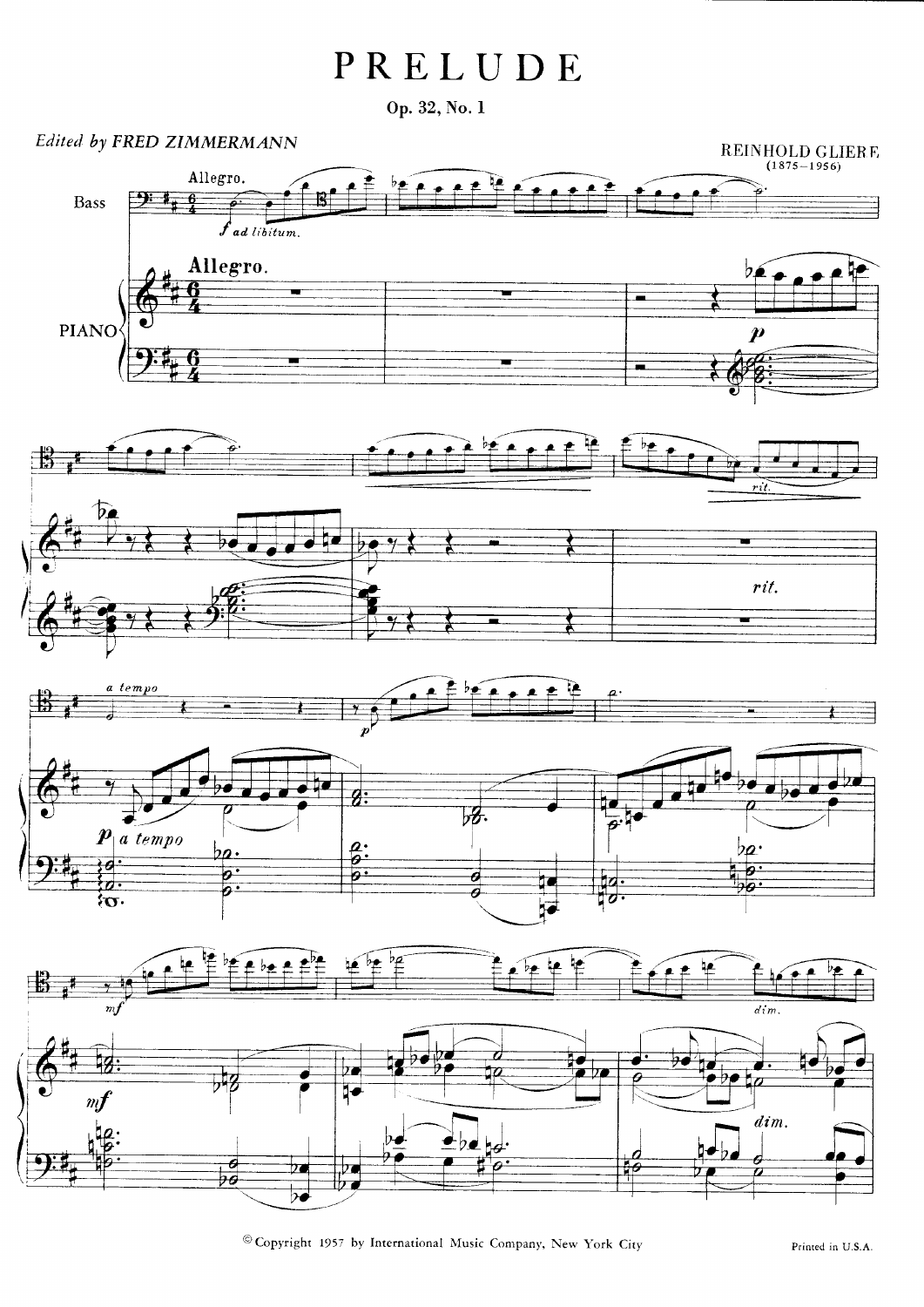#### PRELUDE

Op. 32, No. 1



<sup>&</sup>lt;sup>©</sup> Copyright 1957 by International Music Company, New York City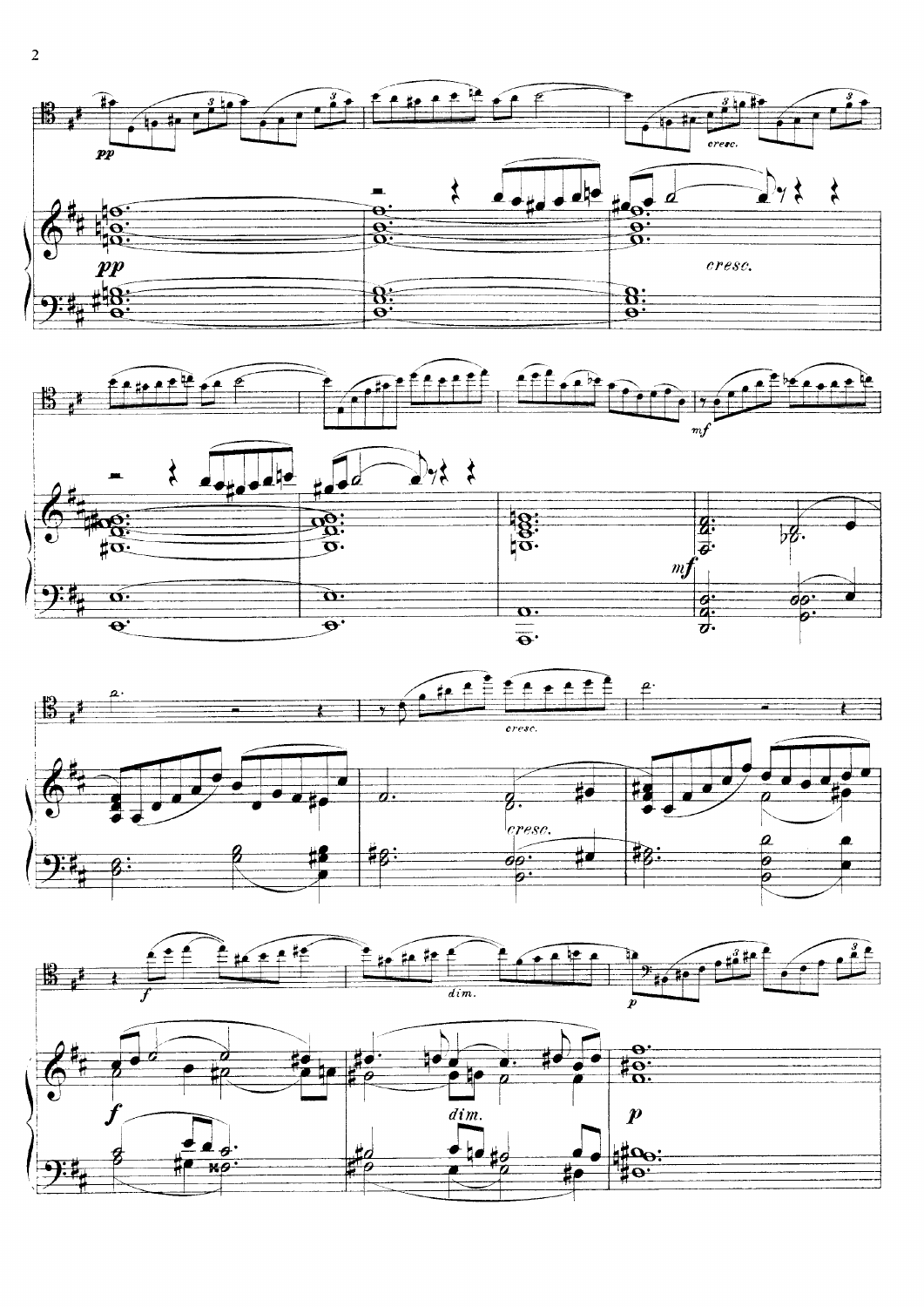





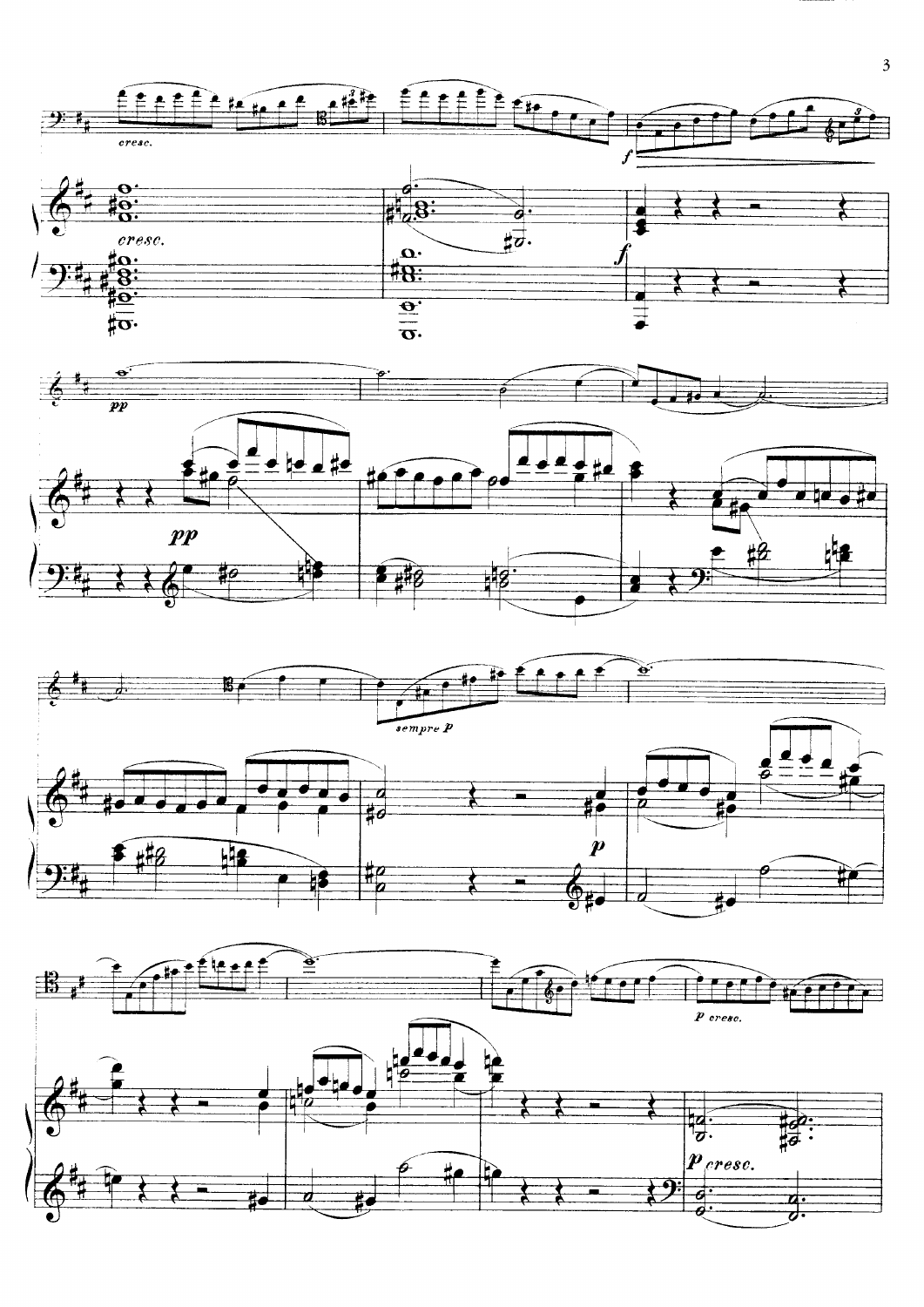





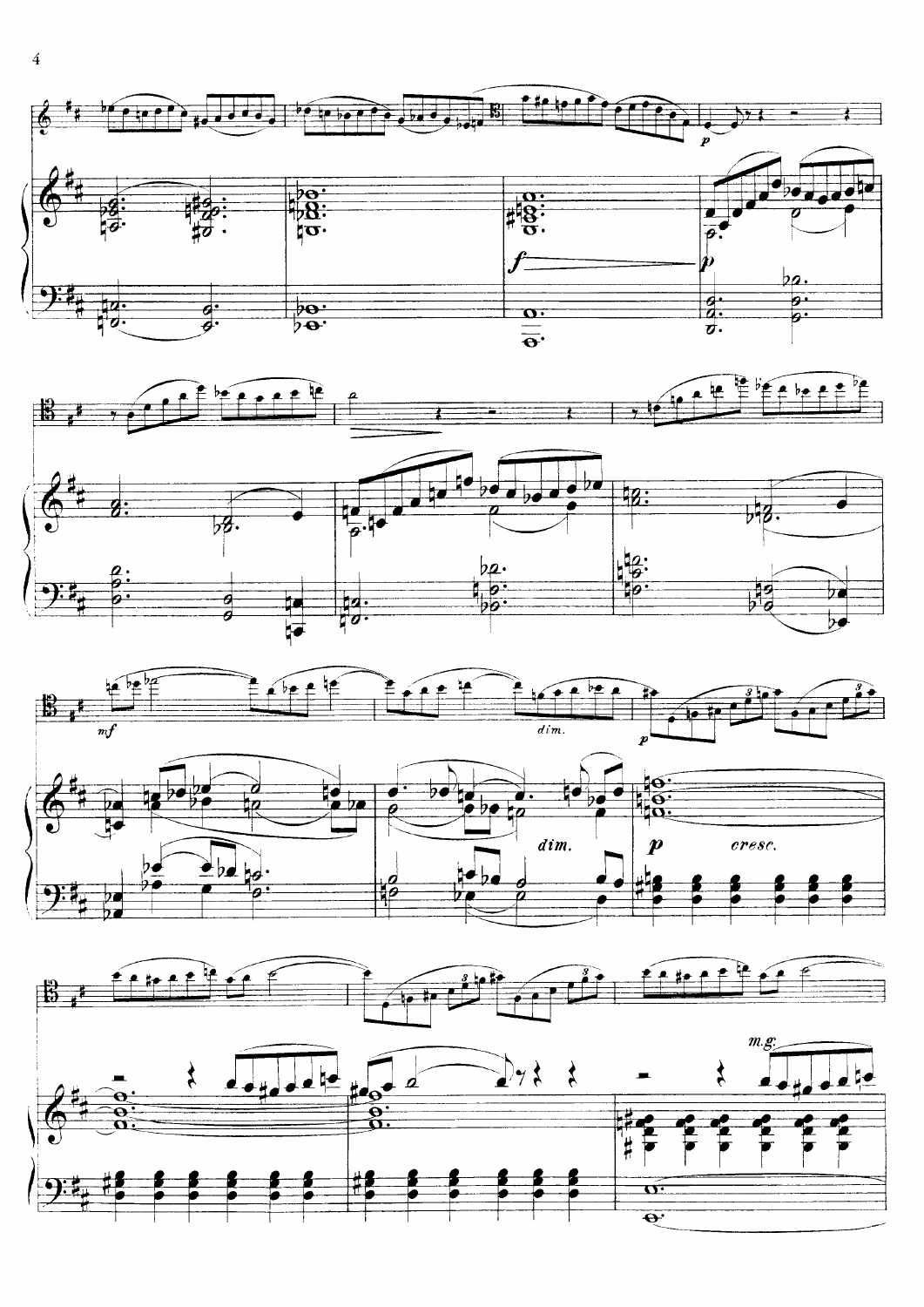





![](_page_6_Figure_3.jpeg)